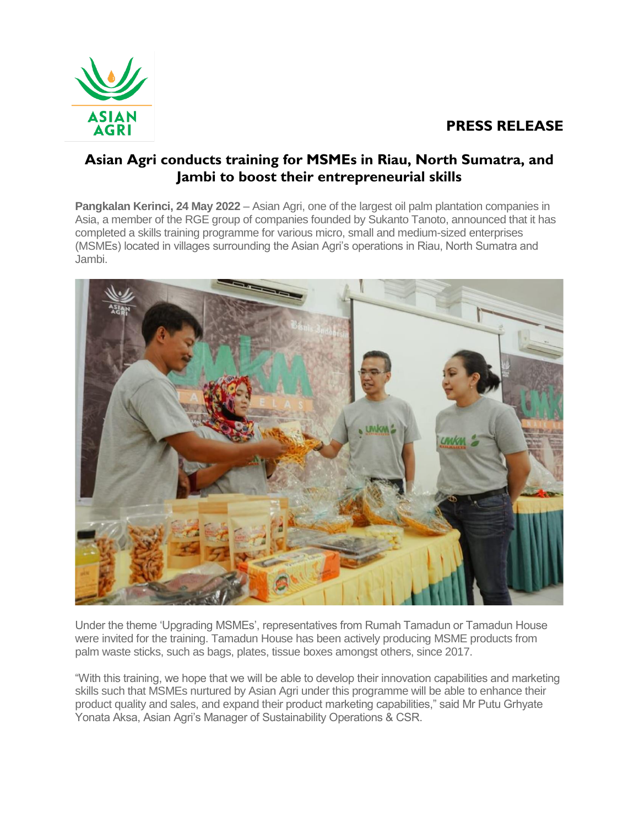## **PRESS RELEASE**



## **Asian Agri conducts training for MSMEs in Riau, North Sumatra, and Jambi to boost their entrepreneurial skills**

**Pangkalan Kerinci, 24 May 2022** – Asian Agri, one of the largest oil palm plantation companies in Asia, a member of the RGE group of companies founded by Sukanto Tanoto, announced that it has completed a skills training programme for various micro, small and medium-sized enterprises (MSMEs) located in villages surrounding the Asian Agri's operations in Riau, North Sumatra and Jambi.



Under the theme 'Upgrading MSMEs', representatives from Rumah Tamadun or Tamadun House were invited for the training. Tamadun House has been actively producing MSME products from palm waste sticks, such as bags, plates, tissue boxes amongst others, since 2017.

"With this training, we hope that we will be able to develop their innovation capabilities and marketing skills such that MSMEs nurtured by Asian Agri under this programme will be able to enhance their product quality and sales, and expand their product marketing capabilities," said Mr Putu Grhyate Yonata Aksa, Asian Agri's Manager of Sustainability Operations & CSR.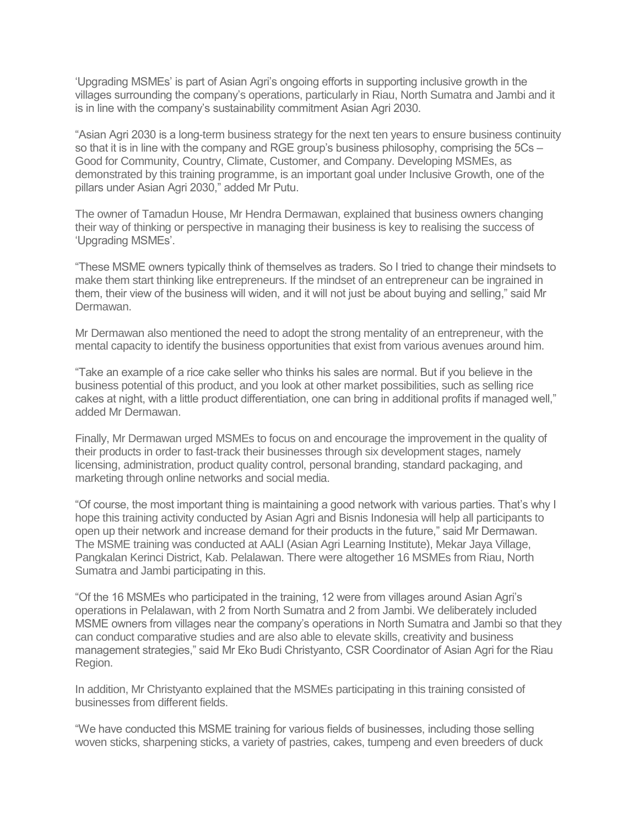'Upgrading MSMEs' is part of Asian Agri's ongoing efforts in supporting inclusive growth in the villages surrounding the company's operations, particularly in Riau, North Sumatra and Jambi and it is in line with the company's sustainability commitment Asian Agri 2030.

"Asian Agri 2030 is a long-term business strategy for the next ten years to ensure business continuity so that it is in line with the company and RGE group's business philosophy, comprising the 5Cs – Good for Community, Country, Climate, Customer, and Company. Developing MSMEs, as demonstrated by this training programme, is an important goal under Inclusive Growth, one of the pillars under Asian Agri 2030," added Mr Putu.

The owner of Tamadun House, Mr Hendra Dermawan, explained that business owners changing their way of thinking or perspective in managing their business is key to realising the success of 'Upgrading MSMEs'.

"These MSME owners typically think of themselves as traders. So I tried to change their mindsets to make them start thinking like entrepreneurs. If the mindset of an entrepreneur can be ingrained in them, their view of the business will widen, and it will not just be about buying and selling," said Mr Dermawan.

Mr Dermawan also mentioned the need to adopt the strong mentality of an entrepreneur, with the mental capacity to identify the business opportunities that exist from various avenues around him.

"Take an example of a rice cake seller who thinks his sales are normal. But if you believe in the business potential of this product, and you look at other market possibilities, such as selling rice cakes at night, with a little product differentiation, one can bring in additional profits if managed well," added Mr Dermawan.

Finally, Mr Dermawan urged MSMEs to focus on and encourage the improvement in the quality of their products in order to fast-track their businesses through six development stages, namely licensing, administration, product quality control, personal branding, standard packaging, and marketing through online networks and social media.

"Of course, the most important thing is maintaining a good network with various parties. That's why I hope this training activity conducted by Asian Agri and Bisnis Indonesia will help all participants to open up their network and increase demand for their products in the future," said Mr Dermawan. The MSME training was conducted at AALI (Asian Agri Learning Institute), Mekar Jaya Village, Pangkalan Kerinci District, Kab. Pelalawan. There were altogether 16 MSMEs from Riau, North Sumatra and Jambi participating in this.

"Of the 16 MSMEs who participated in the training, 12 were from villages around Asian Agri's operations in Pelalawan, with 2 from North Sumatra and 2 from Jambi. We deliberately included MSME owners from villages near the company's operations in North Sumatra and Jambi so that they can conduct comparative studies and are also able to elevate skills, creativity and business management strategies," said Mr Eko Budi Christyanto, CSR Coordinator of Asian Agri for the Riau Region.

In addition, Mr Christyanto explained that the MSMEs participating in this training consisted of businesses from different fields.

"We have conducted this MSME training for various fields of businesses, including those selling woven sticks, sharpening sticks, a variety of pastries, cakes, tumpeng and even breeders of duck